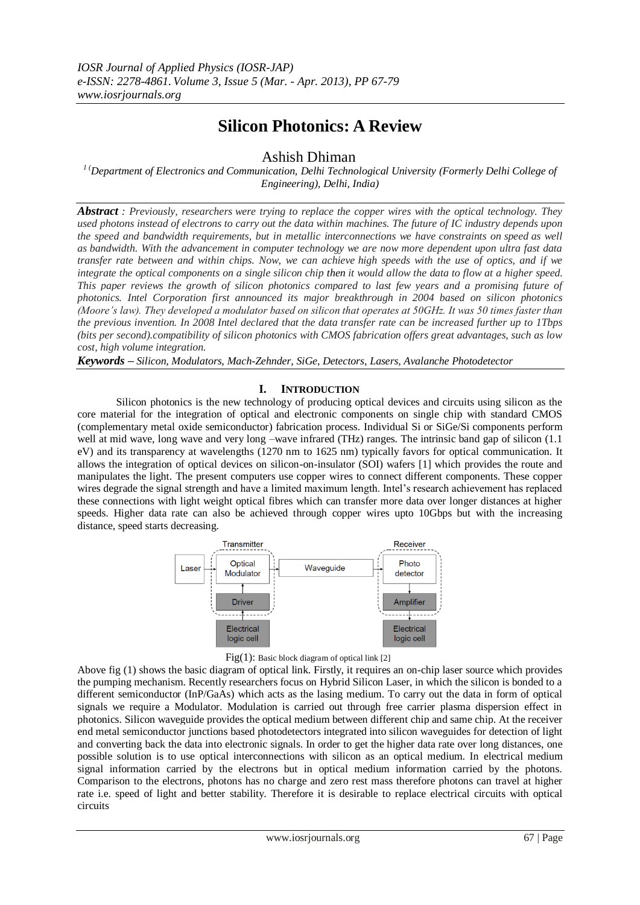# **Silicon Photonics: A Review**

Ashish Dhiman

*1 (Department of Electronics and Communication, Delhi Technological University (Formerly Delhi College of Engineering), Delhi, India)*

*Abstract : Previously, researchers were trying to replace the copper wires with the optical technology. They used photons instead of electrons to carry out the data within machines. The future of IC industry depends upon the speed and bandwidth requirements, but in metallic interconnections we have constraints on speed as well as bandwidth. With the advancement in computer technology we are now more dependent upon ultra fast data transfer rate between and within chips. Now, we can achieve high speeds with the use of optics, and if we integrate the optical components on a single silicon chip then it would allow the data to flow at a higher speed. This paper reviews the growth of silicon photonics compared to last few years and a promising future of photonics. Intel Corporation first announced its major breakthrough in 2004 based on silicon photonics (Moore's law). They developed a modulator based on silicon that operates at 50GHz. It was 50 times faster than the previous invention. In 2008 Intel declared that the data transfer rate can be increased further up to 1Tbps (bits per second).compatibility of silicon photonics with CMOS fabrication offers great advantages, such as low cost, high volume integration.*

*Keywords – Silicon, Modulators, Mach-Zehnder, SiGe, Detectors, Lasers, Avalanche Photodetector*

# **I. INTRODUCTION**

Silicon photonics is the new technology of producing optical devices and circuits using silicon as the core material for the integration of optical and electronic components on single chip with standard CMOS (complementary metal oxide semiconductor) fabrication process. Individual Si or SiGe/Si components perform well at mid wave, long wave and very long –wave infrared (THz) ranges. The intrinsic band gap of silicon (1.1) eV) and its transparency at wavelengths (1270 nm to 1625 nm) typically favors for optical communication. It allows the integration of optical devices on silicon-on-insulator (SOI) wafers [1] which provides the route and manipulates the light. The present computers use copper wires to connect different components. These copper wires degrade the signal strength and have a limited maximum length. Intel"s research achievement has replaced these connections with light weight optical fibres which can transfer more data over longer distances at higher speeds. Higher data rate can also be achieved through copper wires upto 10Gbps but with the increasing distance, speed starts decreasing.





Above fig (1) shows the basic diagram of optical link. Firstly, it requires an on-chip laser source which provides the pumping mechanism. Recently researchers focus on Hybrid Silicon Laser, in which the silicon is bonded to a different semiconductor (InP/GaAs) which acts as the lasing medium. To carry out the data in form of optical signals we require a Modulator. Modulation is carried out through free carrier plasma dispersion effect in photonics. Silicon waveguide provides the optical medium between different chip and same chip. At the receiver end metal semiconductor junctions based photodetectors integrated into silicon waveguides for detection of light and converting back the data into electronic signals. In order to get the higher data rate over long distances, one possible solution is to use optical interconnections with silicon as an optical medium. In electrical medium signal information carried by the electrons but in optical medium information carried by the photons. Comparison to the electrons, photons has no charge and zero rest mass therefore photons can travel at higher rate i.e. speed of light and better stability. Therefore it is desirable to replace electrical circuits with optical circuits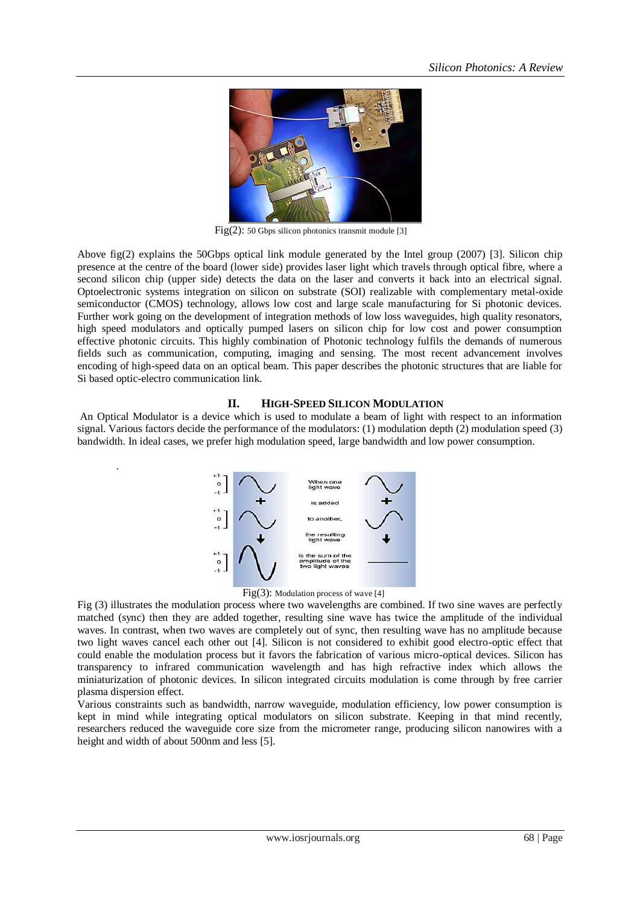

Fig(2): 50 Gbps silicon photonics transmit module [3]

Above fig(2) explains the 50Gbps optical link module generated by the Intel group (2007) [3]. Silicon chip presence at the centre of the board (lower side) provides laser light which travels through optical fibre, where a second silicon chip (upper side) detects the data on the laser and converts it back into an electrical signal. Optoelectronic systems integration on silicon on substrate (SOI) realizable with complementary metal-oxide semiconductor (CMOS) technology, allows low cost and large scale manufacturing for Si photonic devices. Further work going on the development of integration methods of low loss waveguides, high quality resonators, high speed modulators and optically pumped lasers on silicon chip for low cost and power consumption effective photonic circuits. This highly combination of Photonic technology fulfils the demands of numerous fields such as communication, computing, imaging and sensing. The most recent advancement involves encoding of high-speed data on an optical beam. This paper describes the photonic structures that are liable for Si based optic-electro communication link.

# **II. HIGH-SPEED SILICON MODULATION**

An Optical Modulator is a device which is used to modulate a beam of light with respect to an information signal. Various factors decide the performance of the modulators: (1) modulation depth (2) modulation speed (3) bandwidth. In ideal cases, we prefer high modulation speed, large bandwidth and low power consumption.



.



Fig (3) illustrates the modulation process where two wavelengths are combined. If two sine waves are perfectly matched (sync) then they are added together, resulting sine wave has twice the amplitude of the individual waves. In contrast, when two waves are completely out of sync, then resulting wave has no amplitude because two light waves cancel each other out [4]. Silicon is not considered to exhibit good electro-optic effect that could enable the modulation process but it favors the fabrication of various micro-optical devices. Silicon has transparency to infrared communication wavelength and has high refractive index which allows the miniaturization of photonic devices. In silicon integrated circuits modulation is come through by free carrier plasma dispersion effect.

Various constraints such as bandwidth, narrow waveguide, modulation efficiency, low power consumption is kept in mind while integrating optical modulators on silicon substrate. Keeping in that mind recently, researchers reduced the waveguide core size from the micrometer range, producing silicon nanowires with a height and width of about 500nm and less [5].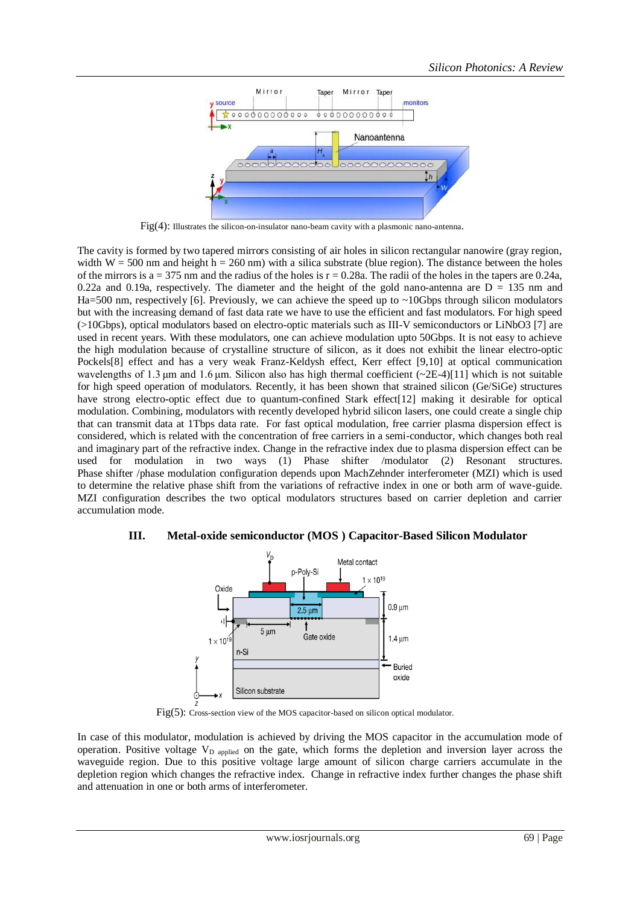

Fig(4): Illustrates the silicon-on-insulator nano-beam cavity with a plasmonic nano-antenna.

The cavity is formed by two tapered mirrors consisting of air holes in silicon rectangular nanowire (gray region, width  $W = 500$  nm and height h = 260 nm) with a silica substrate (blue region). The distance between the holes of the mirrors is a = 375 nm and the radius of the holes is  $r = 0.28a$ . The radii of the holes in the tapers are 0.24a, 0.22a and 0.19a, respectively. The diameter and the height of the gold nano-antenna are  $D = 135$  nm and Ha=500 nm, respectively [6]. Previously, we can achieve the speed up to  $\sim$ 10Gbps through silicon modulators but with the increasing demand of fast data rate we have to use the efficient and fast modulators. For high speed (>10Gbps), optical modulators based on electro-optic materials such as III-V semiconductors or LiNbO3 [7] are used in recent years. With these modulators, one can achieve modulation upto 50Gbps. It is not easy to achieve the high modulation because of crystalline structure of silicon, as it does not exhibit the linear electro-optic Pockels[8] effect and has a very weak Franz-Keldysh effect, Kerr effect [9,10] at optical communication wavelengths of 1.3 μm and 1.6 μm. Silicon also has high thermal coefficient (~2E-4)[11] which is not suitable for high speed operation of modulators. Recently, it has been shown that strained silicon (Ge/SiGe) structures have strong electro-optic effect due to quantum-confined Stark effect[12] making it desirable for optical modulation. Combining, modulators with recently developed hybrid silicon lasers, one could create a single chip that can transmit data at 1Tbps data rate. For fast optical modulation, free carrier plasma dispersion effect is considered, which is related with the concentration of free carriers in a semi-conductor, which changes both real and imaginary part of the refractive index. Change in the refractive index due to plasma dispersion effect can be used for modulation in two ways (1) Phase shifter /modulator (2) Resonant structures. Phase shifter /phase modulation configuration depends upon MachZehnder interferometer (MZI) which is used to determine the relative phase shift from the variations of refractive index in one or both arm of wave-guide. MZI configuration describes the two optical modulators structures based on carrier depletion and carrier accumulation mode.

# **III. Metal-oxide semiconductor (MOS ) Capacitor-Based Silicon Modulator**



Fig(5): Cross-section view of the MOS capacitor-based on silicon optical modulator.

In case of this modulator, modulation is achieved by driving the MOS capacitor in the accumulation mode of operation. Positive voltage  $V_D$  applied on the gate, which forms the depletion and inversion layer across the waveguide region. Due to this positive voltage large amount of silicon charge carriers accumulate in the depletion region which changes the refractive index. Change in refractive index further changes the phase shift and attenuation in one or both arms of interferometer.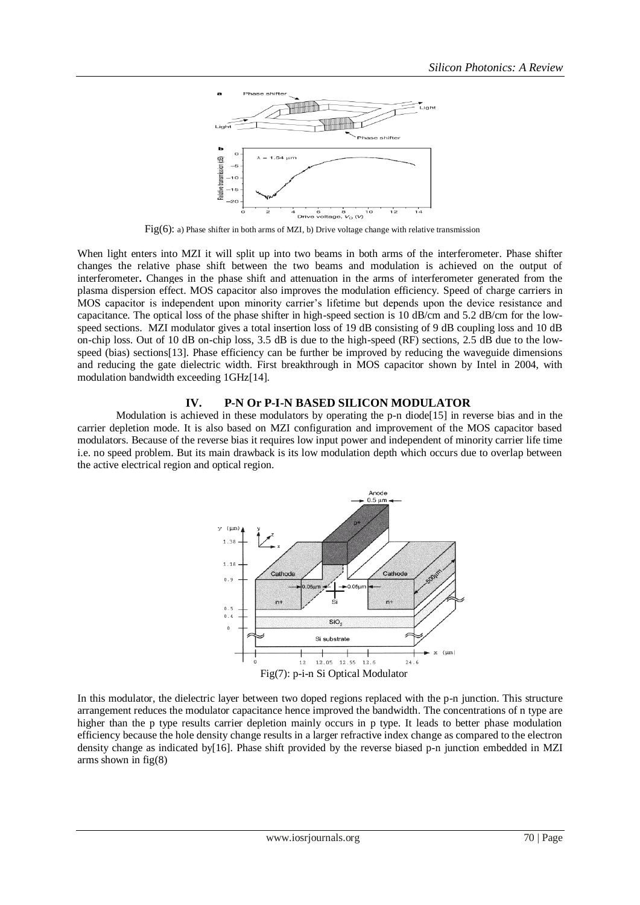

Fig(6): a) Phase shifter in both arms of MZI, b) Drive voltage change with relative transmission

When light enters into MZI it will split up into two beams in both arms of the interferometer. Phase shifter changes the relative phase shift between the two beams and modulation is achieved on the output of interferometer**.** Changes in the phase shift and attenuation in the arms of interferometer generated from the plasma dispersion effect. MOS capacitor also improves the modulation efficiency. Speed of charge carriers in MOS capacitor is independent upon minority carrier"s lifetime but depends upon the device resistance and capacitance. The optical loss of the phase shifter in high-speed section is 10 dB/cm and 5.2 dB/cm for the lowspeed sections. MZI modulator gives a total insertion loss of 19 dB consisting of 9 dB coupling loss and 10 dB on-chip loss. Out of 10 dB on-chip loss, 3.5 dB is due to the high-speed (RF) sections, 2.5 dB due to the lowspeed (bias) sections[13]. Phase efficiency can be further be improved by reducing the waveguide dimensions and reducing the gate dielectric width. First breakthrough in MOS capacitor shown by Intel in 2004, with modulation bandwidth exceeding 1GHz[14].

# **IV. P-N Or P-I-N BASED SILICON MODULATOR**

Modulation is achieved in these modulators by operating the p-n diode[15] in reverse bias and in the carrier depletion mode. It is also based on MZI configuration and improvement of the MOS capacitor based modulators. Because of the reverse bias it requires low input power and independent of minority carrier life time i.e. no speed problem. But its main drawback is its low modulation depth which occurs due to overlap between the active electrical region and optical region.



In this modulator, the dielectric layer between two doped regions replaced with the p-n junction. This structure arrangement reduces the modulator capacitance hence improved the bandwidth. The concentrations of n type are higher than the p type results carrier depletion mainly occurs in p type. It leads to better phase modulation efficiency because the hole density change results in a larger refractive index change as compared to the electron density change as indicated by[16]. Phase shift provided by the reverse biased p-n junction embedded in MZI arms shown in fig(8)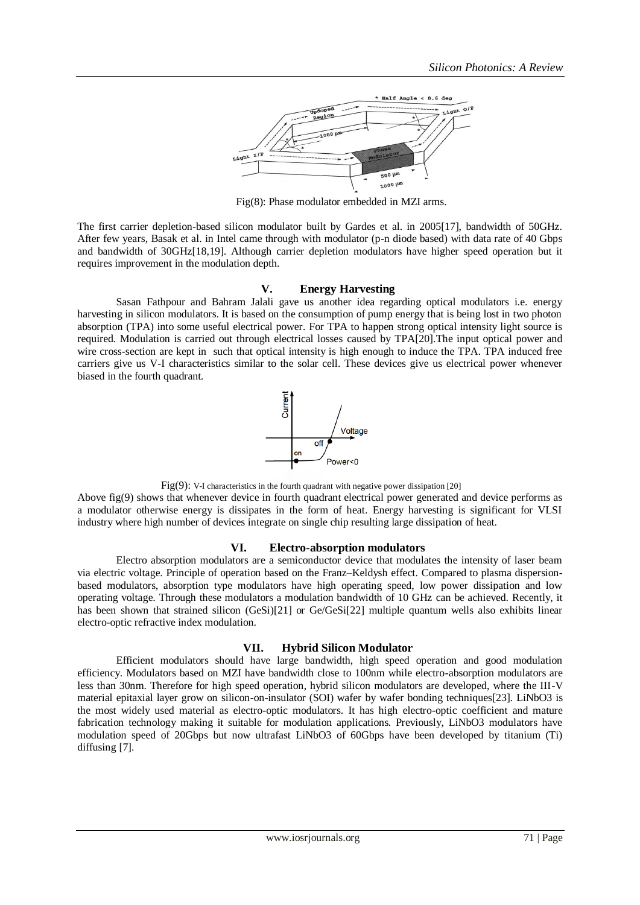

Fig(8): Phase modulator embedded in MZI arms.

The first carrier depletion-based silicon modulator built by Gardes et al. in 2005[17], bandwidth of 50GHz. After few years, Basak et al. in Intel came through with modulator (p-n diode based) with data rate of 40 Gbps and bandwidth of 30GHz[18,19]. Although carrier depletion modulators have higher speed operation but it requires improvement in the modulation depth.

# **V. Energy Harvesting**

Sasan Fathpour and Bahram Jalali gave us another idea regarding optical modulators i.e. energy harvesting in silicon modulators. It is based on the consumption of pump energy that is being lost in two photon absorption (TPA) into some useful electrical power. For TPA to happen strong optical intensity light source is required. Modulation is carried out through electrical losses caused by TPA[20].The input optical power and wire cross-section are kept in such that optical intensity is high enough to induce the TPA. TPA induced free carriers give us V-I characteristics similar to the solar cell. These devices give us electrical power whenever biased in the fourth quadrant.



Fig(9): V-I characteristics in the fourth quadrant with negative power dissipation [20]

Above fig(9) shows that whenever device in fourth quadrant electrical power generated and device performs as a modulator otherwise energy is dissipates in the form of heat. Energy harvesting is significant for VLSI industry where high number of devices integrate on single chip resulting large dissipation of heat.

#### **VI. Electro-absorption modulators**

Electro absorption modulators are a semiconductor device that modulates the intensity of laser beam via electric voltage. Principle of operation based on the Franz–Keldysh effect. Compared to plasma dispersionbased modulators, absorption type modulators have high operating speed, low power dissipation and low operating voltage. Through these modulators a modulation bandwidth of 10 GHz can be achieved. Recently, it has been shown that strained silicon (GeSi)[21] or Ge/GeSi[22] multiple quantum wells also exhibits linear electro-optic refractive index modulation.

#### **VII. Hybrid Silicon Modulator**

Efficient modulators should have large bandwidth, high speed operation and good modulation efficiency. Modulators based on MZI have bandwidth close to 100nm while electro-absorption modulators are less than 30nm. Therefore for high speed operation, hybrid silicon modulators are developed, where the III-V material epitaxial layer grow on silicon-on-insulator (SOI) wafer by wafer bonding techniques[23]. LiNbO3 is the most widely used material as electro-optic modulators. It has high electro-optic coefficient and mature fabrication technology making it suitable for modulation applications. Previously, LiNbO3 modulators have modulation speed of 20Gbps but now ultrafast LiNbO3 of 60Gbps have been developed by titanium (Ti) diffusing [7].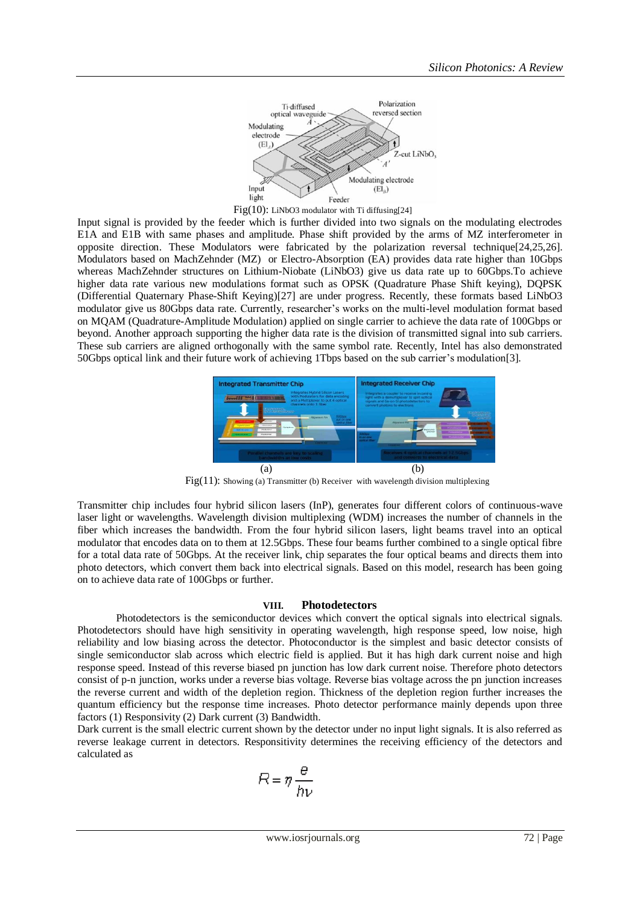



Input signal is provided by the feeder which is further divided into two signals on the modulating electrodes E1A and E1B with same phases and amplitude. Phase shift provided by the arms of MZ interferometer in opposite direction. These Modulators were fabricated by the polarization reversal technique[24,25,26]. Modulators based on MachZehnder (MZ) or Electro-Absorption (EA) provides data rate higher than 10Gbps whereas MachZehnder structures on Lithium-Niobate (LiNbO3) give us data rate up to 60Gbps.To achieve higher data rate various new modulations format such as OPSK (Quadrature Phase Shift keying), DQPSK (Differential Quaternary Phase-Shift Keying)[27] are under progress. Recently, these formats based LiNbO3 modulator give us 80Gbps data rate. Currently, researcher"s works on the multi-level modulation format based on MQAM (Quadrature-Amplitude Modulation) applied on single carrier to achieve the data rate of 100Gbps or beyond. Another approach supporting the higher data rate is the division of transmitted signal into sub carriers. These sub carriers are aligned orthogonally with the same symbol rate. Recently, Intel has also demonstrated 50Gbps optical link and their future work of achieving 1Tbps based on the sub carrier"s modulation[3].



Fig(11): Showing (a) Transmitter (b) Receiver with wavelength division multiplexing

Transmitter chip includes four hybrid silicon lasers (InP), generates four different colors of continuous-wave laser light or wavelengths. Wavelength division multiplexing (WDM) increases the number of channels in the fiber which increases the bandwidth. From the four hybrid silicon lasers, light beams travel into an optical modulator that encodes data on to them at 12.5Gbps. These four beams further combined to a single optical fibre for a total data rate of 50Gbps. At the receiver link, chip separates the four optical beams and directs them into photo detectors, which convert them back into electrical signals. Based on this model, research has been going on to achieve data rate of 100Gbps or further.

# **VIII. Photodetectors**

Photodetectors is the semiconductor devices which convert the optical signals into electrical signals. Photodetectors should have high sensitivity in operating wavelength, high response speed, low noise, high reliability and low biasing across the detector. Photoconductor is the simplest and basic detector consists of single semiconductor slab across which electric field is applied. But it has high dark current noise and high response speed. Instead of this reverse biased pn junction has low dark current noise. Therefore photo detectors consist of p-n junction, works under a reverse bias voltage. Reverse bias voltage across the pn junction increases the reverse current and width of the depletion region. Thickness of the depletion region further increases the quantum efficiency but the response time increases. Photo detector performance mainly depends upon three factors (1) Responsivity (2) Dark current (3) Bandwidth.

Dark current is the small electric current shown by the detector under no input light signals. It is also referred as reverse leakage current in detectors. Responsitivity determines the receiving efficiency of the detectors and calculated as

$$
R = \eta \frac{\theta}{h\nu}
$$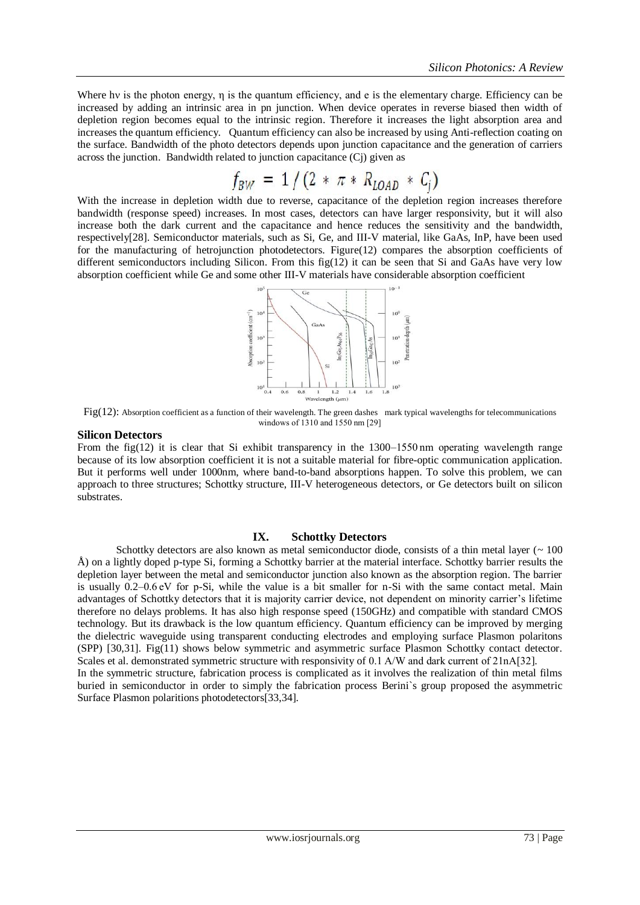Where hv is the photon energy,  $\eta$  is the quantum efficiency, and e is the elementary charge. Efficiency can be increased by adding an intrinsic area in pn junction. When device operates in reverse biased then width of depletion region becomes equal to the intrinsic region. Therefore it increases the light absorption area and increases the quantum efficiency. Quantum efficiency can also be increased by using Anti-reflection coating on the surface. Bandwidth of the photo detectors depends upon junction capacitance and the generation of carriers across the junction. Bandwidth related to junction capacitance (Cj) given as

$$
f_{BW} = 1/(2 * \pi * R_{LOAD} * C_j)
$$

With the increase in depletion width due to reverse, capacitance of the depletion region increases therefore bandwidth (response speed) increases. In most cases, detectors can have larger responsivity, but it will also increase both the dark current and the capacitance and hence reduces the sensitivity and the bandwidth, respectively[28]. Semiconductor materials, such as Si, Ge, and III-V material, like GaAs, InP, have been used for the manufacturing of hetrojunction photodetectors. Figure(12) compares the absorption coefficients of different semiconductors including Silicon. From this fig $(12)$  it can be seen that Si and GaAs have very low absorption coefficient while Ge and some other III-V materials have considerable absorption coefficient



Fig(12): Absorption coefficient as a function of their wavelength. The green dashes mark typical wavelengths for telecommunications windows of 1310 and 1550 nm [29]

#### **Silicon Detectors**

From the fig(12) it is clear that Si exhibit transparency in the 1300–1550 nm operating wavelength range because of its low absorption coefficient it is not a suitable material for fibre-optic communication application. But it performs well under 1000nm, where band-to-band absorptions happen. To solve this problem, we can approach to three structures; Schottky structure, III-V heterogeneous detectors, or Ge detectors built on silicon substrates.

# **IX. Schottky Detectors**

Schottky detectors are also known as metal semiconductor diode, consists of a thin metal layer  $($   $\sim$  100 Å) on a lightly doped p-type Si, forming a Schottky barrier at the material interface. Schottky barrier results the depletion layer between the metal and semiconductor junction also known as the absorption region. The barrier is usually 0.2–0.6 eV for p-Si, while the value is a bit smaller for n-Si with the same contact metal. Main advantages of Schottky detectors that it is majority carrier device, not dependent on minority carrier"s lifetime therefore no delays problems. It has also high response speed (150GHz) and compatible with standard CMOS technology. But its drawback is the low quantum efficiency. Quantum efficiency can be improved by merging the dielectric waveguide using transparent conducting electrodes and employing surface Plasmon polaritons (SPP) [30,31]. Fig(11) shows below symmetric and asymmetric surface Plasmon Schottky contact detector. Scales et al. demonstrated symmetric structure with responsivity of 0.1 A/W and dark current of 21nA[32]. In the symmetric structure, fabrication process is complicated as it involves the realization of thin metal films buried in semiconductor in order to simply the fabrication process Berini`s group proposed the asymmetric Surface Plasmon polaritions photodetectors[33,34].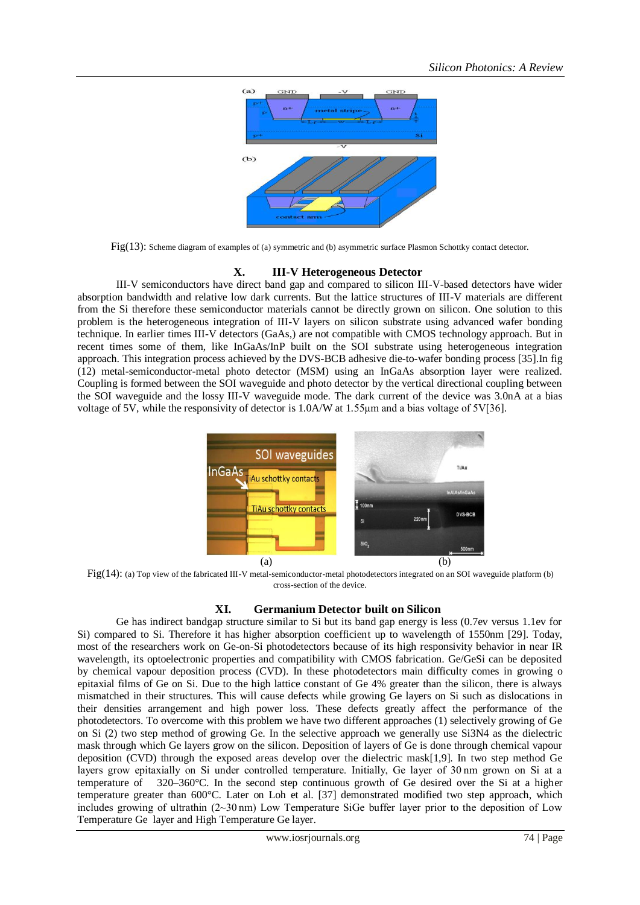

Fig(13): Scheme diagram of examples of (a) symmetric and (b) asymmetric surface Plasmon Schottky contact detector.

# **X. III-V Heterogeneous Detector**

III-V semiconductors have direct band gap and compared to silicon III-V-based detectors have wider absorption bandwidth and relative low dark currents. But the lattice structures of III-V materials are different from the Si therefore these semiconductor materials cannot be directly grown on silicon. One solution to this problem is the heterogeneous integration of III-V layers on silicon substrate using advanced wafer bonding technique. In earlier times III-V detectors (GaAs,) are not compatible with CMOS technology approach. But in recent times some of them, like InGaAs/InP built on the SOI substrate using heterogeneous integration approach. This integration process achieved by the DVS-BCB adhesive die-to-wafer bonding process [35].In fig (12) metal-semiconductor-metal photo detector (MSM) using an InGaAs absorption layer were realized. Coupling is formed between the SOI waveguide and photo detector by the vertical directional coupling between the SOI waveguide and the lossy III-V waveguide mode. The dark current of the device was 3.0nA at a bias voltage of 5V, while the responsivity of detector is 1.0A/W at 1.55μm and a bias voltage of 5V[36].



Fig(14): (a) Top view of the fabricated III-V metal-semiconductor-metal photodetectors integrated on an SOI waveguide platform (b) cross-section of the device.

# **XI. Germanium Detector built on Silicon**

Ge has indirect bandgap structure similar to Si but its band gap energy is less (0.7ev versus 1.1ev for Si) compared to Si. Therefore it has higher absorption coefficient up to wavelength of 1550nm [29]. Today, most of the researchers work on Ge-on-Si photodetectors because of its high responsivity behavior in near IR wavelength, its optoelectronic properties and compatibility with CMOS fabrication. Ge/GeSi can be deposited by chemical vapour deposition process (CVD). In these photodetectors main difficulty comes in growing o epitaxial films of Ge on Si. Due to the high lattice constant of Ge 4% greater than the silicon, there is always mismatched in their structures. This will cause defects while growing Ge layers on Si such as dislocations in their densities arrangement and high power loss. These defects greatly affect the performance of the photodetectors. To overcome with this problem we have two different approaches (1) selectively growing of Ge on Si (2) two step method of growing Ge. In the selective approach we generally use Si3N4 as the dielectric mask through which Ge layers grow on the silicon. Deposition of layers of Ge is done through chemical vapour deposition (CVD) through the exposed areas develop over the dielectric mask[1,9]. In two step method Ge layers grow epitaxially on Si under controlled temperature. Initially, Ge layer of 30 nm grown on Si at a temperature of 320–360°C. In the second step continuous growth of Ge desired over the Si at a higher temperature greater than 600°C. Later on Loh et al. [37] demonstrated modified two step approach, which includes growing of ultrathin (2~30 nm) Low Temperature SiGe buffer layer prior to the deposition of Low Temperature Ge layer and High Temperature Ge layer.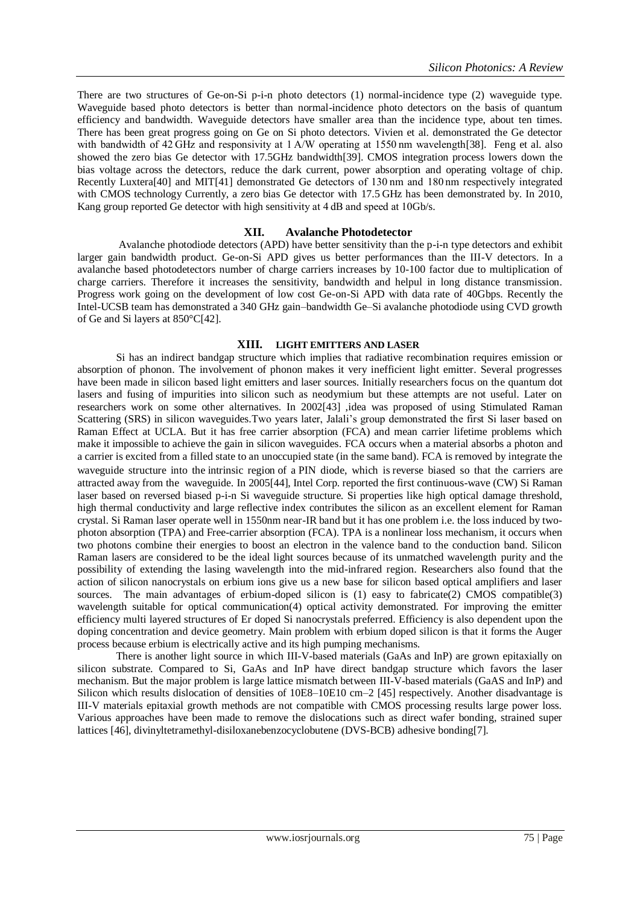There are two structures of Ge-on-Si p-i-n photo detectors (1) normal-incidence type (2) waveguide type. Waveguide based photo detectors is better than normal-incidence photo detectors on the basis of quantum efficiency and bandwidth. Waveguide detectors have smaller area than the incidence type, about ten times. There has been great progress going on Ge on Si photo detectors. Vivien et al. demonstrated the Ge detector with bandwidth of 42 GHz and responsivity at 1 A/W operating at 1550 nm wavelength [38]. Feng et al. also showed the zero bias Ge detector with 17.5GHz bandwidth[39]. CMOS integration process lowers down the bias voltage across the detectors, reduce the dark current, power absorption and operating voltage of chip. Recently Luxtera[40] and MIT[41] demonstrated Ge detectors of 130 nm and 180 nm respectively integrated with CMOS technology Currently, a zero bias Ge detector with 17.5 GHz has been demonstrated by. In 2010, Kang group reported Ge detector with high sensitivity at 4 dB and speed at 10Gb/s.

# **XII. Avalanche Photodetector**

Avalanche photodiode detectors (APD) have better sensitivity than the p-i-n type detectors and exhibit larger gain bandwidth product. Ge-on-Si APD gives us better performances than the III-V detectors. In a avalanche based photodetectors number of charge carriers increases by 10-100 factor due to multiplication of charge carriers. Therefore it increases the sensitivity, bandwidth and helpul in long distance transmission. Progress work going on the development of low cost Ge-on-Si APD with data rate of 40Gbps. Recently the Intel-UCSB team has demonstrated a 340 GHz gain–bandwidth Ge–Si avalanche photodiode using CVD growth of Ge and Si layers at 850°C[42].

# **XIII. LIGHT EMITTERS AND LASER**

Si has an indirect bandgap structure which implies that radiative recombination requires emission or absorption of phonon. The involvement of phonon makes it very inefficient light emitter. Several progresses have been made in silicon based light emitters and laser sources. Initially researchers focus on the quantum dot lasers and fusing of impurities into silicon such as neodymium but these attempts are not useful. Later on researchers work on some other alternatives. In 2002[43] ,idea was proposed of using Stimulated Raman Scattering (SRS) in silicon waveguides. Two years later, Jalali's group demonstrated the first Si laser based on Raman Effect at UCLA. But it has free carrier absorption (FCA) and mean carrier lifetime problems which make it impossible to achieve the gain in silicon waveguides. FCA occurs when a material absorbs a photon and a carrier is excited from a filled state to an unoccupied state (in the same band). FCA is removed by integrate the waveguide structure into the intrinsic region of a PIN diode, which is reverse biased so that the carriers are attracted away from the waveguide. In 2005[44], Intel Corp. reported the first continuous-wave (CW) Si Raman laser based on reversed biased p-i-n Si waveguide structure. Si properties like high optical damage threshold, high thermal conductivity and large reflective index contributes the silicon as an excellent element for Raman crystal. Si Raman laser operate well in 1550nm near-IR band but it has one problem i.e. the loss induced by twophoton absorption (TPA) and Free-carrier absorption (FCA). TPA is a nonlinear loss mechanism, it occurs when two photons combine their energies to boost an electron in the valence band to the conduction band. Silicon Raman lasers are considered to be the ideal light sources because of its unmatched wavelength purity and the possibility of extending the lasing wavelength into the mid-infrared region. Researchers also found that the action of silicon nanocrystals on erbium ions give us a new base for silicon based optical amplifiers and laser sources. The main advantages of erbium-doped silicon is (1) easy to fabricate(2) CMOS compatible(3) wavelength suitable for optical communication(4) optical activity demonstrated. For improving the emitter efficiency multi layered structures of Er doped Si nanocrystals preferred. Efficiency is also dependent upon the doping concentration and device geometry. Main problem with erbium doped silicon is that it forms the Auger process because erbium is electrically active and its high pumping mechanisms.

There is another light source in which III-V-based materials (GaAs and InP) are grown epitaxially on silicon substrate. Compared to Si, GaAs and InP have direct bandgap structure which favors the laser mechanism. But the major problem is large lattice mismatch between III-V-based materials (GaAS and InP) and Silicon which results dislocation of densities of 10E8–10E10 cm–2 [45] respectively. Another disadvantage is III-V materials epitaxial growth methods are not compatible with CMOS processing results large power loss. Various approaches have been made to remove the dislocations such as direct wafer bonding, strained super lattices [46], divinyltetramethyl-disiloxanebenzocyclobutene (DVS-BCB) adhesive bonding[7].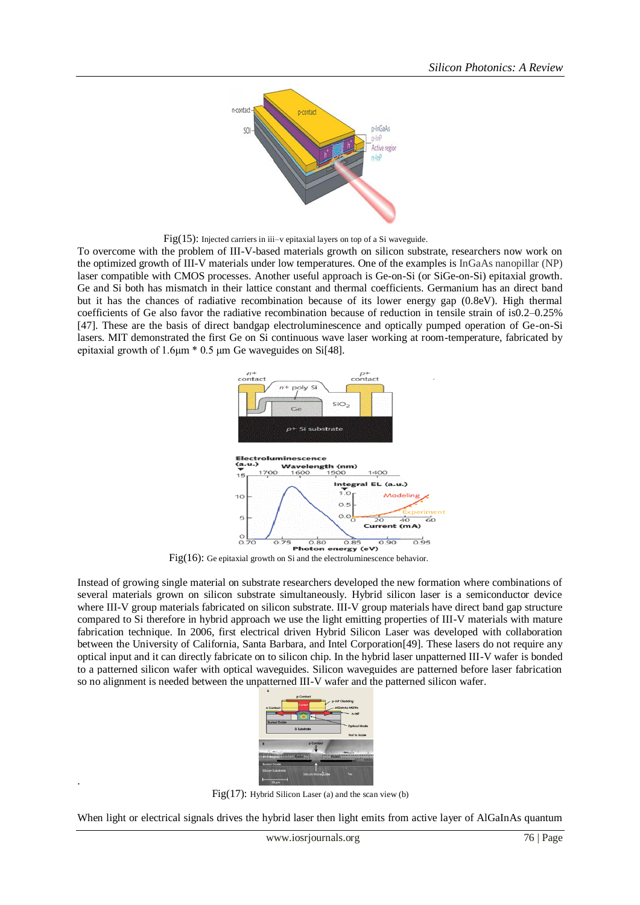

Fig(15): Injected carriers in iii–v epitaxial layers on top of a Si waveguide.

To overcome with the problem of III-V-based materials growth on silicon substrate, researchers now work on the optimized growth of III-V materials under low temperatures. One of the examples is InGaAs nanopillar (NP) laser compatible with CMOS processes. Another useful approach is Ge-on-Si (or SiGe-on-Si) epitaxial growth. Ge and Si both has mismatch in their lattice constant and thermal coefficients. Germanium has an direct band but it has the chances of radiative recombination because of its lower energy gap (0.8eV). High thermal coefficients of Ge also favor the radiative recombination because of reduction in tensile strain of is0.2–0.25% [47]. These are the basis of direct bandgap electroluminescence and optically pumped operation of Ge-on-Si lasers. MIT demonstrated the first Ge on Si continuous wave laser working at room-temperature, fabricated by epitaxial growth of 1.6μm \* 0.5 μm Ge waveguides on Si[48].



Fig(16): Ge epitaxial growth on Si and the electroluminescence behavior.

Instead of growing single material on substrate researchers developed the new formation where combinations of several materials grown on silicon substrate simultaneously. Hybrid silicon laser is a semiconductor device where III-V group materials fabricated on silicon substrate. III-V group materials have direct band gap structure compared to Si therefore in hybrid approach we use the light emitting properties of III-V materials with mature fabrication technique. In 2006, first electrical driven Hybrid Silicon Laser was developed with collaboration between the University of California, Santa Barbara, and Intel Corporation[49]. These lasers do not require any optical input and it can directly fabricate on to silicon chip. In the hybrid laser unpatterned III-V wafer is bonded to a patterned silicon wafer with optical waveguides. Silicon waveguides are patterned before laser fabrication so no alignment is needed between the unpatterned III-V wafer and the patterned silicon wafer.



Fig $(17)$ : Hybrid Silicon Laser (a) and the scan view (b)

.

When light or electrical signals drives the hybrid laser then light emits from active layer of AlGaInAs quantum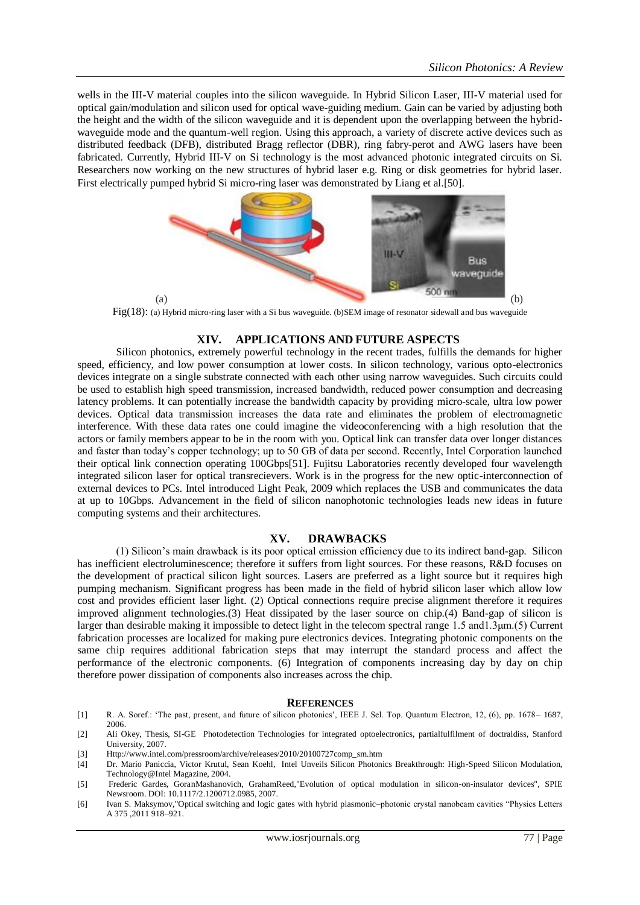wells in the III-V material couples into the silicon waveguide. In Hybrid Silicon Laser, III-V material used for optical gain/modulation and silicon used for optical wave-guiding medium. Gain can be varied by adjusting both the height and the width of the silicon waveguide and it is dependent upon the overlapping between the hybridwaveguide mode and the quantum-well region. Using this approach, a variety of discrete active devices such as distributed feedback (DFB), distributed Bragg reflector (DBR), ring fabry-perot and AWG lasers have been fabricated. Currently, Hybrid III-V on Si technology is the most advanced photonic integrated circuits on Si. Researchers now working on the new structures of hybrid laser e.g. Ring or disk geometries for hybrid laser. First electrically pumped hybrid Si micro-ring laser was demonstrated by Liang et al.[50].



Fig(18): (a) Hybrid micro-ring laser with a Si bus waveguide. (b)SEM image of resonator sidewall and bus waveguide

# **XIV. APPLICATIONS AND FUTURE ASPECTS**

Silicon photonics, extremely powerful technology in the recent trades, fulfills the demands for higher speed, efficiency, and low power consumption at lower costs. In silicon technology, various opto-electronics devices integrate on a single substrate connected with each other using narrow waveguides. Such circuits could be used to establish high speed transmission, increased bandwidth, reduced power consumption and decreasing latency problems. It can potentially increase the bandwidth capacity by providing micro-scale, ultra low power devices. Optical data transmission increases the data rate and eliminates the problem of electromagnetic interference. With these data rates one could imagine the videoconferencing with a high resolution that the actors or family members appear to be in the room with you. Optical link can transfer data over longer distances and faster than today"s copper technology; up to 50 GB of data per second. Recently, Intel Corporation launched their optical link connection operating 100Gbps[51]. Fujitsu Laboratories recently developed four wavelength integrated silicon laser for optical transrecievers. Work is in the progress for the new optic-interconnection of external devices to PCs. Intel introduced Light Peak, 2009 which replaces the USB and communicates the data at up to 10Gbps. Advancement in the field of silicon nanophotonic technologies leads new ideas in future computing systems and their architectures.

# **XV. DRAWBACKS**

(1) Silicon"s main drawback is its poor optical emission efficiency due to its indirect band-gap. Silicon has inefficient electroluminescence; therefore it suffers from light sources. For these reasons, R&D focuses on the development of practical silicon light sources. Lasers are preferred as a light source but it requires high pumping mechanism. Significant progress has been made in the field of hybrid silicon laser which allow low cost and provides efficient laser light. (2) Optical connections require precise alignment therefore it requires improved alignment technologies.(3) Heat dissipated by the laser source on chip.(4) Band-gap of silicon is larger than desirable making it impossible to detect light in the telecom spectral range 1.5 and1.3μm.(5) Current fabrication processes are localized for making pure electronics devices. Integrating photonic components on the same chip requires additional fabrication steps that may interrupt the standard process and affect the performance of the electronic components. (6) Integration of components increasing day by day on chip therefore power dissipation of components also increases across the chip.

# **REFERENCES**

- [1] R. A. Soref.: "The past, present, and future of silicon photonics", IEEE J. Sel. Top. Quantum Electron, 12, (6), pp. 1678– 1687, 2006.
- [2] Ali Okey, Thesis, SI-GE Photodetection Technologies for integrated optoelectronics, partialfulfilment of doctraldiss, Stanford University, 2007.
- [3] Http://www.intel.com/pressroom/archive/releases/2010/20100727comp\_sm.htm
- [4] Dr. Mario Paniccia, Victor Krutul, Sean Koehl, Intel Unveils Silicon Photonics Breakthrough: High-Speed Silicon Modulation, Technology@Intel Magazine, 2004.
- [5] Frederic Gardes, GoranMashanovich, GrahamReed,"Evolution of optical modulation in silicon-on-insulator devices", SPIE Newsroom. DOI: 10.1117/2.1200712.0985, 2007.
- [6] Ivan S. Maksymov,"Optical switching and logic gates with hybrid plasmonic–photonic crystal nanobeam cavities "Physics Letters A 375 ,2011 918–921.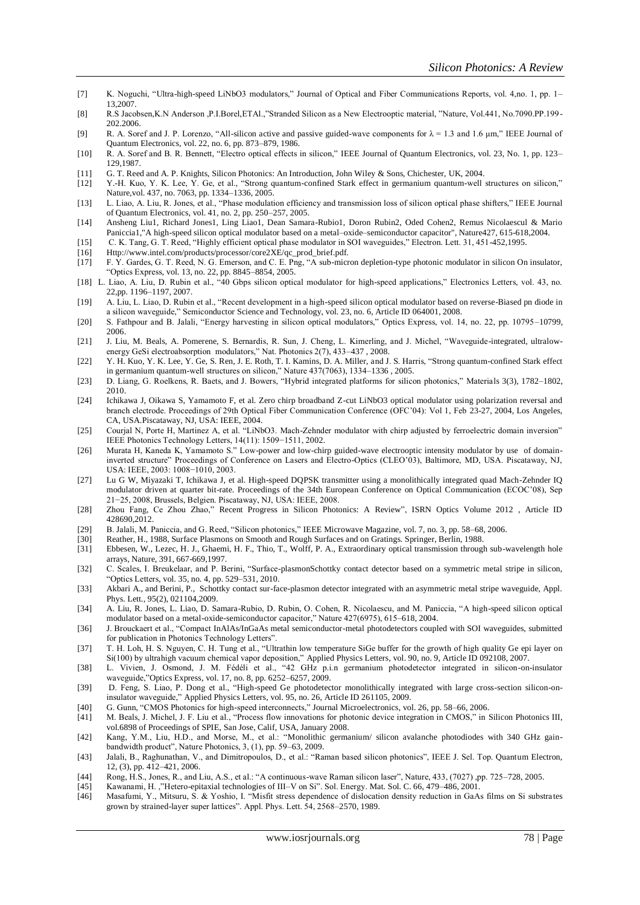- [7] K. Noguchi, "Ultra-high-speed LiNbO3 modulators," Journal of Optical and Fiber Communications Reports, vol. 4,no. 1, pp. 1– 13,2007.
- [8] R.S Jacobsen,K.N Anderson ,P.I.Borel,ETAl.,"Stranded Silicon as a New Electrooptic material, "Nature, Vol.441, No.7090.PP.199- 202.2006.
- [9] R. A. Soref and J. P. Lorenzo, "All-silicon active and passive guided-wave components for  $\lambda = 1.3$  and 1.6  $\mu$ m," IEEE Journal of Quantum Electronics, vol. 22, no. 6, pp. 873–879, 1986.
- [10] R. A. Soref and B. R. Bennett, "Electro optical effects in silicon," IEEE Journal of Quantum Electronics, vol. 23, No. 1, pp. 123– 129,1987.
- [11] G. T. Reed and A. P. Knights, Silicon Photonics: An Introduction, John Wiley & Sons, Chichester, UK, 2004.
- [12] Y.-H. Kuo, Y. K. Lee, Y. Ge, et al., "Strong quantum-confined Stark effect in germanium quantum-well structures on silicon," Nature,vol. 437, no. 7063, pp. 1334–1336, 2005.
- [13] L. Liao, A. Liu, R. Jones, et al., "Phase modulation efficiency and transmission loss of silicon optical phase shifters," IEEE Journal of Quantum Electronics, vol. 41, no. 2, pp. 250–257, 2005.
- [14] Ansheng Liu1, Richard Jones1, Ling Liao1, Dean Samara-Rubio1, Doron Rubin2, Oded Cohen2, Remus Nicolaescul & Mario Paniccia1,"A high-speed silicon optical modulator based on a metal–oxide–semiconductor capacitor", Nature427, 615-618,2004.
- [15] C. K. Tang, G. T. Reed, "Highly efficient optical phase modulator in SOI waveguides," Electron. Lett. 31, 451-452,1995.
- [16] Http://www.intel.com/products/processor/core2XE/qc\_prod\_brief.pdf.
- [17] F. Y. Gardes, G. T. Reed, N. G. Emerson, and C. E. Png, "A sub-micron depletion-type photonic modulator in silicon On insulator, "Optics Express, vol. 13, no. 22, pp. 8845–8854, 2005.
- [18] L. Liao, A. Liu, D. Rubin et al., "40 Gbps silicon optical modulator for high-speed applications," Electronics Letters, vol. 43, no. 22,pp. 1196–1197, 2007.
- [19] A. Liu, L. Liao, D. Rubin et al., "Recent development in a high-speed silicon optical modulator based on reverse-Biased pn diode in a silicon waveguide," Semiconductor Science and Technology, vol. 23, no. 6, Article ID 064001, 2008.
- [20] S. Fathpour and B. Jalali, "Energy harvesting in silicon optical modulators," Optics Express, vol. 14, no. 22, pp. 10795–10799, 2006.
- [21] J. Liu, M. Beals, A. Pomerene, S. Bernardis, R. Sun, J. Cheng, L. Kimerling, and J. Michel, "Waveguide-integrated, ultralowenergy GeSi electroabsorption modulators," Nat. Photonics 2(7), 433–437 , 2008.
- [22] Y. H. Kuo, Y. K. Lee, Y. Ge, S. Ren, J. E. Roth, T. I. Kamins, D. A. Miller, and J. S. Harris, "Strong quantum-confined Stark effect in germanium quantum-well structures on silicon," Nature 437(7063), 1334–1336 , 2005.
- [23] D. Liang, G. Roelkens, R. Baets, and J. Bowers, "Hybrid integrated platforms for silicon photonics," Materials 3(3), 1782–1802, 2010.
- [24] Ichikawa J, Oikawa S, Yamamoto F, et al. Zero chirp broadband Z-cut LiNbO3 optical modulator using polarization reversal and branch electrode. Proceedings of 29th Optical Fiber Communication Conference (OFC"04): Vol 1, Feb 23-27, 2004, Los Angeles, CA, USA.Piscataway, NJ, USA: IEEE, 2004.
- [25] Courjal N, Porte H, Martinez A, et al. "LiNbO3. Mach-Zehnder modulator with chirp adjusted by ferroelectric domain inversion" IEEE Photonics Technology Letters, 14(11): 1509−1511, 2002.
- [26] Murata H, Kaneda K, Yamamoto S." Low-power and low-chirp guided-wave electrooptic intensity modulator by use of domaininverted structure" Proceedings of Conference on Lasers and Electro-Optics (CLEO"03), Baltimore, MD, USA. Piscataway, NJ, USA: IEEE, 2003: 1008−1010, 2003.
- [27] Lu G W, Miyazaki T, Ichikawa J, et al. High-speed DQPSK transmitter using a monolithically integrated quad Mach-Zehnder IQ modulator driven at quarter bit-rate. Proceedings of the 34th European Conference on Optical Communication (ECOC"08), Sep 21−25, 2008, Brussels, Belgien. Piscataway, NJ, USA: IEEE, 2008.
- [28] Zhou Fang, Ce Zhou Zhao," Recent Progress in Silicon Photonics: A Review", ISRN Optics Volume 2012 , Article ID 428690,2012.
- [29] B. Jalali, M. Paniccia, and G. Reed, "Silicon photonics," IEEE Microwave Magazine, vol. 7, no. 3, pp. 58–68, 2006.
- [30] Reather, H., 1988, Surface Plasmons on Smooth and Rough Surfaces and on Gratings. Springer, Berlin, 1988.
- [31] Ebbesen, W., Lezec, H. J., Ghaemi, H. F., Thio, T., Wolff, P. A., Extraordinary optical transmission through sub-wavelength hole arrays, Nature, 391, 667-669,1997.
- [32] C. Scales, I. Breukelaar, and P. Berini, "Surface-plasmonSchottky contact detector based on a symmetric metal stripe in silicon, "Optics Letters, vol. 35, no. 4, pp. 529–531, 2010.
- [33] Akbari A., and Berini, P., Schottky contact sur-face-plasmon detector integrated with an asymmetric metal stripe waveguide, Appl. Phys. Lett., 95(2), 021104,2009.
- [34] A. Liu, R. Jones, L. Liao, D. Samara-Rubio, D. Rubin, O. Cohen, R. Nicolaescu, and M. Paniccia, "A high-speed silicon optical modulator based on a metal-oxide-semiconductor capacitor," Nature 427(6975), 615–618, 2004.
- [36] J. Brouckaert et al., "Compact InAlAs/InGaAs metal semiconductor-metal photodetectors coupled with SOI waveguides, submitted for publication in Photonics Technology Letters".
- [37] T. H. Loh, H. S. Nguyen, C. H. Tung et al., "Ultrathin low temperature SiGe buffer for the growth of high quality Ge epi layer on Si(100) by ultrahigh vacuum chemical vapor deposition," Applied Physics Letters, vol. 90, no. 9, Article ID 092108, 2007.
- [38] L. Vivien, J. Osmond, J. M. Fédéli et al., "42 GHz p.i.n germanium photodetector integrated in silicon-on-insulator waveguide,"Optics Express, vol. 17, no. 8, pp. 6252–6257, 2009.
- [39] D. Feng, S. Liao, P. Dong et al., "High-speed Ge photodetector monolithically integrated with large cross-section silicon-oninsulator waveguide," Applied Physics Letters, vol. 95, no. 26, Article ID 261105, 2009.
- [40] G. Gunn, "CMOS Photonics for high-speed interconnects," Journal Microelectronics, vol. 26, pp. 58–66, 2006.
- [41] M. Beals, J. Michel, J. F. Liu et al., "Process flow innovations for photonic device integration in CMOS," in Silicon Photonics III, vol.6898 of Proceedings of SPIE, San Jose, Calif, USA, January 2008.
- [42] Kang, Y.M., Liu, H.D., and Morse, M., et al.: "Monolithic germanium/ silicon avalanche photodiodes with 340 GHz gainbandwidth product", Nature Photonics, 3, (1), pp. 59–63, 2009.
- [43] Jalali, B., Raghunathan, V., and Dimitropoulos, D., et al.: "Raman based silicon photonics", IEEE J. Sel. Top. Quantum Electron, 12, (3), pp. 412–421, 2006.
- [44] Rong, H.S., Jones, R., and Liu, A.S., et al.: "A continuous-wave Raman silicon laser", Nature, 433, (7027) ,pp. 725–728, 2005.
- [45] Kawanami, H. ,"Hetero-epitaxial technologies of III–V on Si". Sol. Energy. Mat. Sol. C. 66, 479–486, 2001.
- [46] Masafumi, Y., Mitsuru, S. & Yoshio, I. "Misfit stress dependence of dislocation density reduction in GaAs films on Si substra tes grown by strained-layer super lattices". Appl. Phys. Lett. 54, 2568–2570, 1989.